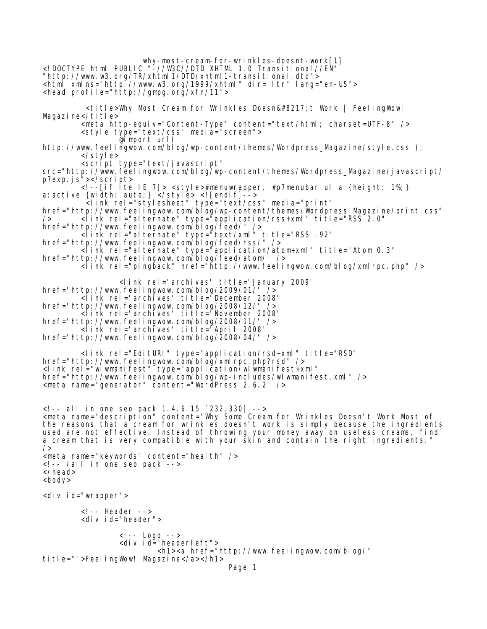why-most-cream-for-wrinkles-doesnt-work[1] <!DOCTYPE html PUBLIC "-//W3C//DTD XHTML 1.0 Transitional//EN" "http://www.w3.org/TR/xhtml1/DTD/xhtml1-transitional.dtd"> <html xmlns="http://www.w3.org/1999/xhtml" dir="ltr" lang="en-US"> <head profile="http://gmpg.org/xfn/11"> <title>Why Most Cream for Wrinkles Doesn&#8217;t Work | FeelingWow! Magazine</title> <meta http-equiv="Content-Type" content="text/html; charset=UTF-8" /> <style type="text/css" media="screen"> @import url( http://www.feelingwow.com/blog/wp-content/themes/Wordpress\_Magazine/style.css ); </style> <script type="text/javascript" src="http://www.feelingwow.com/blog/wp-content/themes/Wordpress\_Magazine/javascript/ p7exp.js"></script> <!--[if lte IE 7]> <style>#menuwrapper, #p7menubar ul a {height: 1%;} a:active {width: auto;} </style> <![endif]--> <link rel="stylesheet" type="text/css" media="print" href="http://www.feelingwow.com/blog/wp-content/themes/Wordpress\_Magazine/print.css" /> <link rel="alternate" type="application/rss+xml" title="RSS 2.0" href="http://www.feelingwow.com/blog/feed/"/> <link rel="alternate" type="text/xml" title="RSS .92" href="http://www.feelingwow.com/blog/feed/rss/" /> <link rel="alternate" type="application/atom+xml" title="Atom 0.3" href="http://www.feelingwow.com/blog/feed/atom/" /> <link rel="pingback" href="http://www.feelingwow.com/blog/xmlrpc.php" /> <link rel='archives' title='January 2009' href='http://www.feelingwow.com/blog/2009/01/' /> <link rel='archives' title='December 2008' href='http://www.feelingwow.com/blog/2008/12/' /> <link rel='archives' title='November 2008' href='http://www.feelingwow.com/blog/2008/11/' /> <link rel='archives' title='April 2008' href='http://www.feelingwow.com/blog/2008/04/' /> <link rel="EditURI" type="application/rsd+xml" title="RSD" href="http://www.feelingwow.com/blog/xmlrpc.php?rsd" /> <link rel="wlwmanifest" type="application/wlwmanifest+xml" href="http://www.feelingwow.com/blog/wp-includes/wlwmanifest.xml" /> <meta name="generator" content="WordPress 2.6.2" /> <!-- all in one seo pack 1.4.6.15 [232,330] --> <meta name="description" content="Why Some Cream for Wrinkles Doesn't Work Most of the reasons that a cream for wrinkles doesn't work is simply because the ingredients used are not effective. Instead of throwing your money away on useless creams, find a cream that is very compatible with your skin and contain the right ingredients. /> <meta name="keywords" content="health" />  $\langle$ !-- /all in one seo pack --> </head> <body> <div id="wrapper"> <!-- Header --> <div id="header"> <!-- Logo --> <div id="headerleft"> <h1><a href="http://www.feelingwow.com/blog/" title="">FeelingWow! Magazine</a></h1> Page 1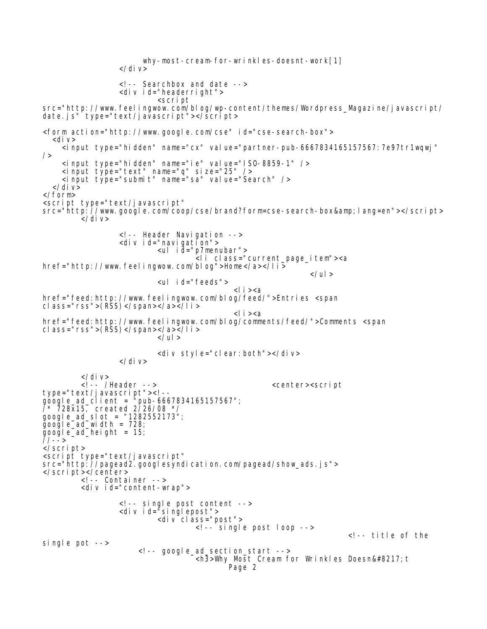why-most-cream-for-wrinkles-doesnt-work[1] </div> <!-- Searchbox and date --> <div id="headerright"> <script src="http://www.feelingwow.com/blog/wp-content/themes/Wordpress\_Magazine/javascript/ date. js" type="text/javascript"></script> <form action="http://www.google.com/cse" id="cse-search-box"> <div> <input type="hidden" name="cx" value="partner-pub-6667834165157567:7e97tr1wqwj"  $/$  <input type="hidden" name="ie" value="ISO-8859-1" /> <input type="text" name="q" size="25" /> <input type="submit" name="sa" value="Search" />  $\langle$ div> </form> <script type="text/javascript" src="http://www.google.com/coop/cse/brand?form=cse-search-box&lang=en"></script> </div> <!-- Header Navigation --> <div id="navigation"> <ul id="p7menubar"> <li class="current\_page\_item"><a href="http://www.feelingwow.com/blog">Home</a></li>  $\langle$ /ul > <ul id="feeds"> <li><a href="feed: http://www.feelingwow.com/blog/feed/">Entries <span cl ass="rss">(RSS)</span></a></l i >  $<$ li $>$  $<$ a href="feed:http://www.feelingwow.com/blog/comments/feed/">Comments <span cl ass="rss">(RSS)</span></a></l i >  $\langle$ /ul  $\rangle$ <div style="clear:both"></div> </div> </div> <!-- /Header --> <center><script type="text/javascript"><!- google\_ad\_client = "pub-6667834165157567"; /\* 728x15, created 2/26/08 \*/  $900q$  e\_ad\_sl ot = "1282552173"; google\_ad\_width =  $728$ ;  $\bar{g}$ oo $\bar{g}$ l e\_ad\_hei ght = 15; //--> </script> <script type="text/javascript" src="http://pagead2.googlesyndication.com/pagead/show\_ads.js"> </script></center> <!-- Container --> <div id="content-wrap"> <!-- single post content --> <div id="singlepost"> <div class="post"> <!-- single post loop -->  $\leq l$  -- title of the single pot --> <!-- google\_ad\_section\_start -->  $\overline{1}$ <h3>Why Most Cream for Wrinkles Doesn&#8217; t Page 2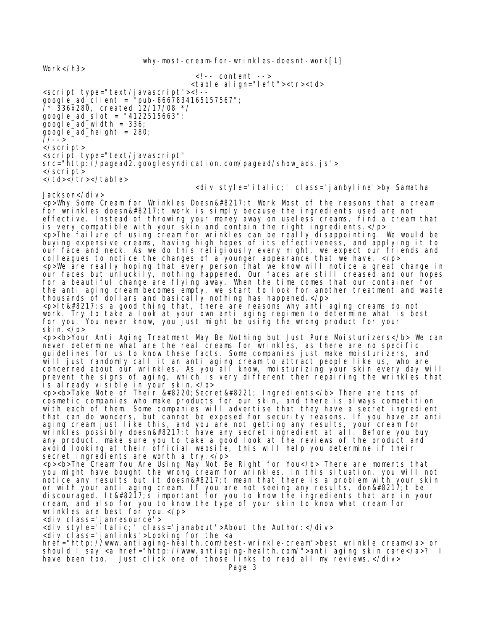why-most-cream-for-wrinkles-doesnt-work[1] Work</h3>  $\langle$ !-- content --> <table align="left"><tr><td> <script type="text/javascript"><!- google\_ad\_client = "pub-6667834165157567"; /\* 336x280, created 12/17/08 \*/ google\_ad\_slot = "4122515663";  $\overline{g}$ oogle\_ad\_width = 336; google\_ad\_height = 280; //--> </script> <script type="text/javascript" src="http://pagead2.googlesyndication.com/pagead/show\_ads.js"> </script> </td></tr></table> <div style='italic;' class='janbyline'>by Samatha Jackson</div> <p>Why Some Cream for Wrinkles Doesn&#8217; t Work Most of the reasons that a cream for wrinkles doesn' t work is simply because the ingredients used are not effective. Instead of throwing your money away on useless creams, find a cream that is very compatible with your skin and contain the right ingredients.</p> <p>The failure of using cream for wrinkles can be really disappointing. We would be buying expensive creams, having high hopes of its effectiveness, and applying it to our face and neck. As we do this religiously every night, we expect our friends and colleagues to notice the changes of a younger appearance that we have. </p> <p>We are really hoping that every person that we know will notice a great change in our faces but unluckily, nothing happened. Our faces are still creased and our hopes for a beautiful change are flying away. When the time comes that our container for the anti aging cream becomes empty, we start to look for another treatment and waste thousands of dollars and basically nothing has happened.</p>  $<$ p>It's a good thing that, there are reasons why anti aging creams do not work. Try to take a look at your own anti aging regimen to determine what is best for you. You never know, you just might be using the wrong product for your skin.</p> <p><b>Your Anti Aging Treatment May Be Nothing but Just Pure Moisturizers</b> We can never determine what are the real creams for wrinkles, as there are no specific guidelines for us to know these facts. Some companies just make moisturizers, and will just randomly call it an anti aging cream to attract people like us, who are concerned about our wrinkles. As you all know, moisturizing your skin every day will prevent the signs of aging, which is very different then repairing the wrinkles that is already visible in your skin.</p> <p><b>Take Note of Their &#8220;Secret&#8221; Ingredients</b> There are tons of cosmetic companies who make products for our skin, and there is always competition with each of them. Some companies will advertise that they have a secret ingredient that can do wonders, but cannot be exposed for security reasons. If you have an anti aging cream just like this, and you are not getting any results, your cream for wrinkles possibly doesn' t have any secret ingredient at all. Before you buy any product, make sure you to take a good look at the reviews of the product and avoid looking at their official website, this will help you determine if their secret ingredients are worth a try. </p> <p><b>The Cream You Are Using May Not Be Right for You</b> There are moments that you might have bought the wrong cream for wrinkles. In this situation, you will not notice any results but it doesn' t mean that there is a problem with your skin or with your anti aging cream. If you are not seeing any results, don't be discouraged. It's important for you to know the ingredients that are in your cream, and also for you to know the type of your skin to know what cream for wrinkles are best for you.</p> <div class='janresource'> <div style='italic;' class='janabout'>About the Author:</div> <div class='janlinks'>Looking for the <a href="http://www.antiaging-health.com/best-wrinkle-cream">best wrinkle cream</a> or should I say <a href="http://www.antiaging-health.com/">anti aging skin care</a>? I have been too. Just click one of those links to read all my reviews. </div> Page 3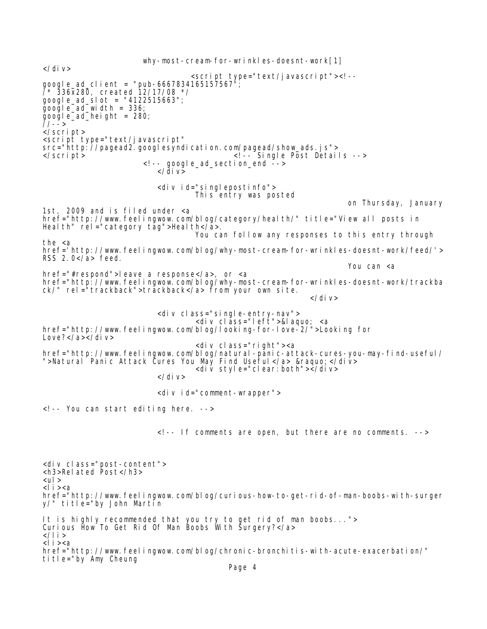why-most-cream-for-wrinkles-doesnt-work[1]  $\langle$ div $\rangle$  <script type="text/javascript"><!- google\_ad\_client = "pub-6667834165157567"; /\* 336x280, created 12/17/08 \*/ google\_ad\_slot = "4122515663";  $\bar{g}$ oo $\bar{g}$ le\_ad\_width = 336;  $\bar{g}$ oo $\bar{g}$ l e\_ad\_hei ght = 280; //--> </script> <script type="text/javascript" src="http://pagead2.googlesyndication.com/pagead/show\_ads.js"> </script>  $\langle$  -- Single Post Details -->  $\leq$ ! -- google\_ad\_section\_end  $\leq$  ->  $\langle$ div> <div id="singlepostinfo"> This entry was posted on Thursday, January 1st, 2009 and is filed under <a href="http://www.feelingwow.com/blog/category/health/" title="View all posts in Heal th" rel ="category tag">Heal th</a>. You can follow any responses to this entry through the <a href='http://www.feelingwow.com/blog/why-most-cream-for-wrinkles-doesnt-work/feed/'> RSS 2.0</a> feed. You can <a href="#respond">leave a response</a>, or <a href="http://www.feelingwow.com/blog/why-most-cream-for-wrinkles-doesnt-work/trackba ck/" rel="trackback">trackback</a> from your own site.  $\langle$ div> <div class="single-entry-nav"> <div clāss="left">&laquo; <a href="http://www.feelingwow.com/blog/looking-for-love-2/">Looking for Love?</a></div> <div class="right"><a href="http://www.feelingwow.com/blog/natural-panic-attack-cures-you-may-find-useful/ ">Natural Panic Attack Cures You May Find Useful</a> &raquo;</div> <div style="clear:both"></div> </div> <div id="comment-wrapper"> <!-- You can start editing here. --> <!-- If comments are open, but there are no comments. --> <div class="post-content"> <h3>Related Post</h3> <ul> <li><a href="http://www.feelingwow.com/blog/curious-how-to-get-rid-of-man-boobs-with-surger y/" title="by John Martin It is highly recommended that you try to get rid of man boobs..."> Curious How To Get Rid Of Man Boobs With Surgery?</a>  $\langle$ /li > <li><a href="http://www.feelingwow.com/blog/chronic-bronchitis-with-acute-exacerbation/" title="by Amy Cheung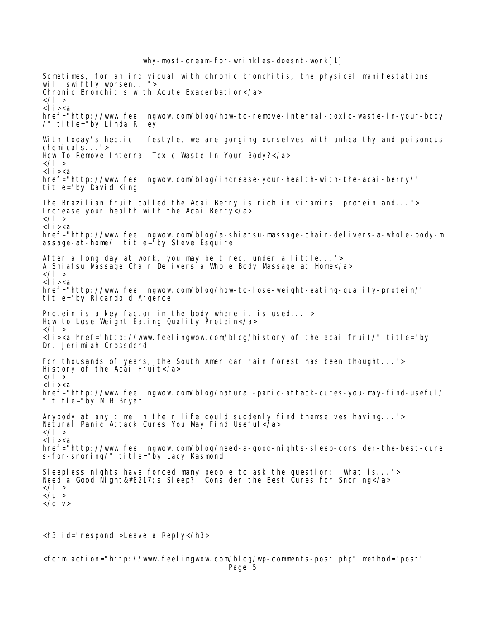Sometimes, for an individual with chronic bronchitis, the physical manifestations will swiftly worsen..."> Chronic Bronchitis with Acute Exacerbation</a> </li>  $<$ li $>$  $<$ a href="http://www.feelingwow.com/blog/how-to-remove-internal-toxic-waste-in-your-body /" title="by Linda Riley With today's hectic lifestyle, we are gorging ourselves with unhealthy and poisonous chemicals..."> How To Remove Internal Toxic Waste In Your Body?</a> </li> <li><a href="http://www.feelingwow.com/blog/increase-your-health-with-the-acai-berry/" title="by David King The Brazilian fruit called the Acai Berry is rich in vitamins, protein and..."> Increase your health with the Acai Berry</a> </li>  $<$ li $>$  $<$ a href="http://www.feelingwow.com/blog/a-shiatsu-massage-chair-delivers-a-whole-body-m assage-at-home/" title="by Steve Esquire After a long day at work, you may be tired, under a little..."> A Shiatsu Massage Chair Delivers a Whole Body Massage at Home</a> </li>  $<$ li $>$  $<$ a href="http://www.feelingwow.com/blog/how-to-lose-weight-eating-quality-protein/" title="by Ricardo d Argence Protein is a key factor in the body where it is used..."> How to Lose Weight Eating Quality Protein</a> </li> <li><a href="http://www.feelingwow.com/blog/history-of-the-acai-fruit/" title="by Dr. Jerimiah Crossderd For thousands of years, the South American rain forest has been thought..."> History of the Acai Fruit</a> </li>  $<$ l i  $><$ a href="http://www.feelingwow.com/blog/natural-panic-attack-cures-you-may-find-useful/ " title="by M B Bryan Anybody at any time in their life could suddenly find themselves having..."> Natural Panic Attack Cures You May Find Useful</a> </li>  $<$ li $>$  $<$ a href="http://www.feelingwow.com/blog/need-a-good-nights-sleep-consider-the-best-cure s-for-snoring/" title="by Lacy Kasmond Sleepless nights have forced many people to ask the question: What is..."> Need a Good Night's Sleep? Consider the Best Cures for Snoring</a>  $\,$ </li>  $\langle$ /ul > </div>

<h3 id="respond">Leave a Reply</h3>

<form action="http://www.feelingwow.com/blog/wp-comments-post.php" method="post" Page 5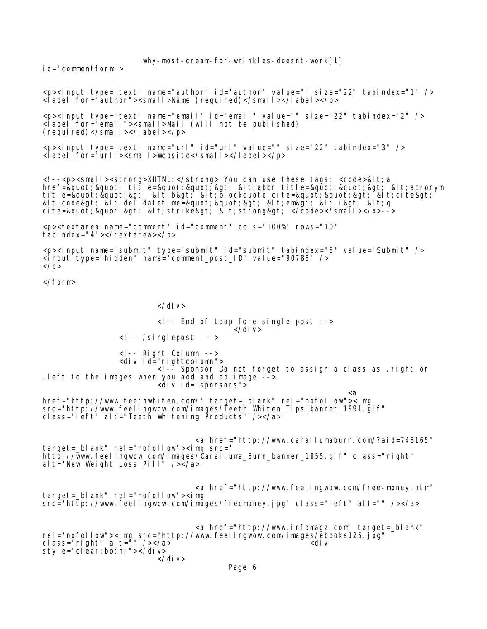id="commentform">

<p><input type="text" name="author" id="author" value="" size="22" tabindex="1" /> <label for="author"><small>Name (required)</small></label></p> <p><input type="text" name="email" id="email" value="" size="22" tabindex="2" /> <label for="email"><small>Mail (will not be published)  $(\text{regular red})$ </small></label></p> <p><input type="text" name="url" id="url" value="" size="22" tabindex="3" /> <label for="url"> <small>Website</small></label></p> <!--<p><small><strong>XHTML:</strong> You can use these tags: <code>&lt;a href=" " title=""> <abbr title=&quot;&quot;&gt; &lt;acronym title=" " > < b&gt; &lt; blockquote cite=&quot; &quot; &gt; ¯&lt; cite&gt; ¯ <code&gt; &lt;del datetime=&quot;&quot;&gt; &lt;em&gt; &lt;i&gt; &lt;q</code> cite=""> <strike&gt; &lt;strong&gt; </code></small></p>--> <p><textarea name="comment" id="comment" cols="100%" rows="10" tabindex="4"></textarea></p> <p><input name="submit" type="submit" id="submit" tabindex="5" value="Submit" />  $\frac{1}{2}$  input type="hidden" name="comment\_post\_ID" value="90783" />  $\langle$ /p> </form> </div> <!-- End of Loop fore single post -->  $\langle$ div $\rangle$ <!-- /singlepost --> <!-- Right Column --> <div id="rightcolumn"> <!-- Sponsor Do not forget to assign a class as .right or .left to the images when you add and ad image --> <div id="sponsors"> <a href="http://www.teethwhiten.com/" target=\_blank" rel="nofollow"><img src="http://www.feelingwow.com/images/Teeth\_Whiten\_Tips\_banner\_1991.gif"\_\_\_\_\_\_\_\_ class="left" alt="Teeth Whitening Products" /></a> <a href="http://www.carallumaburn.com/?aid=748165" target=\_blank" rel="nofollow"><img src=" http://www.feelingwow.com/images/Caralluma\_Burn\_banner\_1855.gif" class="right" al t="New Weight Loss Pill" /></a> <a href="http://www.feelingwow.com/free-money.htm" target=\_blank" rel="nofollow"><img src="http://www.feelingwow.com/images/freemoney.jpg" class="left" alt="" /></a> <a href="http://www.infomagz.com" target=\_blank" rel="nofollow"><img src="http://www.feelingwow.com/images/ebooks125.jpg" class="right" alt="" /></a> <div style="clear:both;"></div>  $\langle$ div> Page 6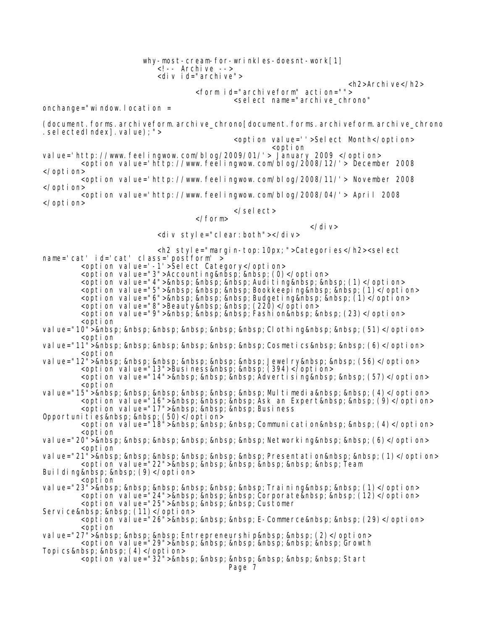why-most-cream-for-wrinkles-doesnt-work[1] <!-- Archive --> <div id="archive"> <h2>Archive</h2> <form id="archiveform" action=""> <select name="archive\_chrono" onchange="window.location = (document.forms.archiveform.archive\_chrono[document.forms.archiveform.archive\_chrono . selectedIndex]. value); "> <option value=''>Select Month</option> <option value='http://www.feelingwow.com/blog/2009/01/'> January 2009 </option> <option value='http://www.feelingwow.com/blog/2008/12/'> December 2008 </option> <option value='http://www.feelingwow.com/blog/2008/11/'> November 2008 </option> <option value='http://www.feelingwow.com/blog/2008/04/'> April 2008 </option> </select> </form>  $\langle$ div $\rangle$ <div style="clear:both"></div> <h2 style="margin-top:10px;">Categories</h2><select name='cat' id='cat' class='postform' > <option value='-1'>Select Category</option> <option value="3">Accounting&nbsp;&nbsp;(0)</option> <opti on value="4">&nbsp; &nbsp; &nbsp; Auditing&nbsp; &nbsp; (1)</option> <opti on value="5">&nbsp; &nbsp; &nbsp; Bookkeeping&nbsp; &nbsp; (1)</option> <opti on val ue="6">&nbsp; &nbsp; &nbsp; Budgeti ng&nbsp; &nbsp; (1)</opti on> <option value="8">Beauty&nbsp;&nbsp;(220)</option> <opti on value="9">&nbsp; &nbsp; &nbsp; Fashi on&nbsp; &nbsp; (23)</opti on> <option value="10"> Clothing (51)</option> <option value="11"> Cosmetics (6)</option> <option val ue="12"> Jewel ry (56)</opti on> <option value="13">Business&nbsp;&nbsp;(394)</option> <opti on value="14">&nbsp; &nbsp; &nbsp; Adverti si ng&nbsp; &nbsp; (57)</opti on> <option value="15"> Multimedia (4)</option> <option value="16">&nbsp; &nbsp; &nbsp; Ask an Expert&nbsp; &nbsp; (9)</option> <option value="17">&nbsp;&nbsp;&nbsp;Business Opportunities (50)</option> <option value="18">&nbsp; &nbsp; &nbsp; Communication&nbsp; &nbsp; (4)</option> <option value="20"> Networking (6)</option> <option value="21"> Presentation (1)</option> <option value="22">&nbsp; &nbsp; &nbsp; &nbsp; &nbsp; &nbsp; Team Building (9)</option> <option<br>val ue="23">&nbsp; &nbsp; &nbsp; &nbsp; &nbsp; &nbsp; &nbsp; Training&nbsp; &nbsp; (1)</option> val ue="23"> Trai ni ng (1)</opti on><br><opti on val ue="24">&nbsp; &nbsp; &nbsp; Corporate&nbsp; &nbsp; (12)</opti on> <option value="25">&nbsp;&nbsp;&nbsp;Customer Service (11)</option> <option value="26">&nbsp; &nbsp; &nbsp; E-Commerce&nbsp; &nbsp; (29)</option> <option value="27"> Entrepreneurship (2)</option> <opti on value="29">&nbsp; &nbsp; &nbsp; &nbsp; &nbsp; &nbsp; Growth Topics (4)</option> <option value="32">&nbsp; &nbsp; &nbsp; &nbsp; &nbsp; &nbsp; Start Page 7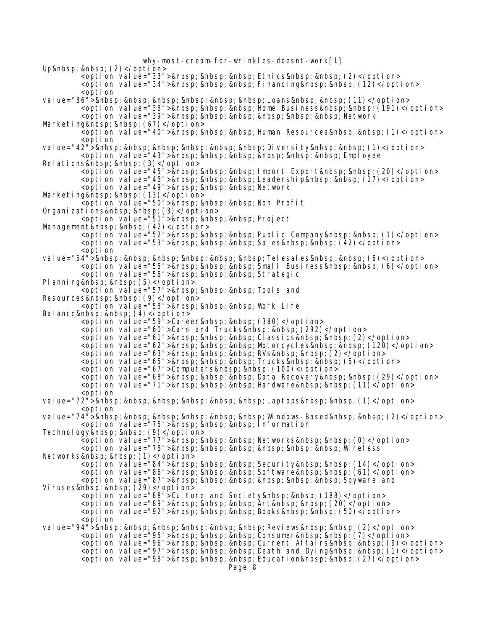why-most-cream-for-wrinkles-doesnt-work[1] Up  $\&n\$ nbsp;  $(2)$ </option> <opti on value="33">&nbsp; &nbsp; &nbsp; Ethi cs&nbsp; &nbsp; (2)</opti on> <opti on value="34">&nbsp; &nbsp; &nbsp; Financing&nbsp; &nbsp; (12)</opti on> <option val ue="36"> Loans (11)</opti on> <opti on value="38">&nbsp; &nbsp; &nbsp; Home Busi ness&nbsp; &nbsp; (191)</opti on> <option value="39">&nbsp; &nbsp; &nbsp; &nbsp; &nbsp; &nbsp; Network Marketing (67)</option>  $\overline{\mathcal{L}}$ option value="40"> Human Resources (1)</option> <option val ue="42"> Di versi ty (1)</opti on> <opti on\_val ue="43">&nbsp; &nbsp; &nbsp; &nbsp; &nbsp; &nbsp; Empl oyee Relations&nbsp;&nbsp;(3)</option> <option value="45">&nbsp; &nbsp; &nbsp; Import Export&nbsp; &nbsp; (20)</option> <opti on val ue="46">&nbsp; &nbsp; &nbsp; Leadershi p&nbsp; &nbsp; (17)</opti on> <option value="49">&nbsp;&nbsp;&nbsp;Network Marketing (13)</option> <option value="50">&nbsp; &nbsp; &nbsp; Non Profit Organi zati ons (3)</opti on> <option value="51">&nbsp;&nbsp;&nbsp;Project Management&nbsp;&nbsp;(42)</option> <option value="52">&nbsp; &nbsp; &nbsp; Public Company&nbsp; &nbsp; (1)</option> <opti on val ue="53">&nbsp; &nbsp; &nbsp; Sal es&nbsp; &nbsp; (42)</opti on> <option value="54"> Telesales  $(6)$ </option> <opti on value="55">&nbsp; &nbsp; &nbsp; Smal I Business&nbsp; &nbsp; (6)</opti on> <option value="56">&nbsp;&nbsp;&nbsp;Strategic Planning (5)</option> <option value="57">&nbsp; &nbsp; &nbsp; Tools and Resources&nbsp;&nbsp;(9)</option> <option value="58">&nbsp;&nbsp;&nbsp;Work Life Balance  $(4)$  </option> <option value="59">Career&nbsp;&nbsp;(380)</option> <option value="60">Cars and Trucks&nbsp;&nbsp;(292)</option> <option value="61">&nbsp; &nbsp; &nbsp; Classics&nbsp; &nbsp; (2)</option> <option value="62">&nbsp; &nbsp; &nbsp; Motorcycles&nbsp; &nbsp; (120)</option> <option value="63">&nbsp; &nbsp; &nbsp; RVs&nbsp; &nbsp; (2)</option> <option value="65">&nbsp; &nbsp; &nbsp; Trucks&nbsp; &nbsp; (5)</option> <option value="67">Computers&nbsp;&nbsp;(100)</option> <option value="68">&nbsp; &nbsp; &nbsp; Data Recovery&nbsp; &nbsp; (29)</option> <option value="71">&nbsp;&nbsp;&nbsp;Hardware&nbsp;&nbsp;(11)</option> <option value="72"> Laptops (1)</option> <option value="74"> Windows-Based (2)</option> <option value="75">&nbsp; &nbsp; &nbsp; Information Technol ogy (9)</option> <option value="77">&nbsp; &nbsp; &nbsp; Networks&nbsp; &nbsp; (0)</option> <opti on val ue="78">&nbsp; &nbsp; &nbsp; &nbsp; &nbsp; &nbsp; Wi rel ess Networks (1)</option> <opti on value="84">&nbsp; &nbsp; &nbsp; Securi ty&nbsp; &nbsp; (14)</opti on> <option value="86">&nbsp;&nbsp;&nbsp;Software&nbsp;&nbsp;(61)</option> <option value="87">&nbsp; &nbsp; &nbsp; &nbsp; &nbsp; &nbsp; Spyware and Viruses (29)</option> <option value="88">Culture and Society&nbsp; &nbsp; (188)</option> <opti on val ue="89">&nbsp; &nbsp; &nbsp; Art&nbsp; &nbsp; (20)</opti on> <option value="92">&nbsp; &nbsp; &nbsp; Books&nbsp; &nbsp; (50)</option> <option val ue="94"> Revi ews (2)</opti on> <option\_value="95">&nbsp; &nbsp; &nbsp; Consumer&nbsp; &nbsp; (7)</option> <opti on value="96">&nbsp; &nbsp; &nbsp; Current Affairs&nbsp; &nbsp; (9)</opti on> <option value="97">&nbsp; &nbsp; &nbsp; Death and Dying&nbsp; &nbsp; (1)</option> <option value="98">&nbsp; &nbsp; &nbsp; Education&nbsp; &nbsp; (27)</option>

Page 8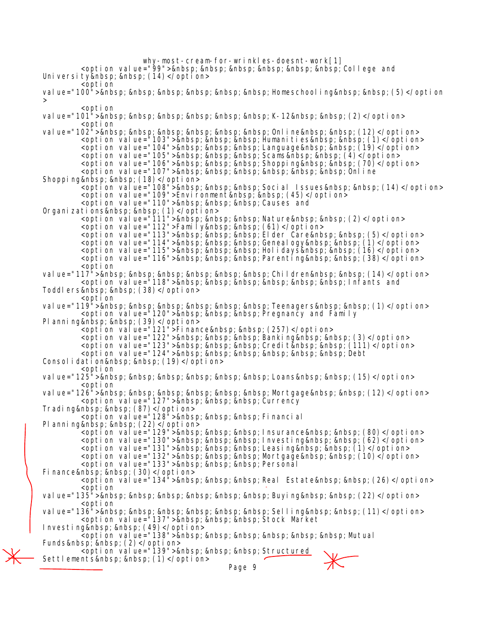why-most-cream-for-wrinkles-doesnt-work[1] <option value="99">&nbsp; &nbsp; &nbsp; &nbsp; &nbsp; &nbsp; College and University&nbsp; &nbsp; (14)</option> <option value="100"> Homeschooling (5)</option > <option value="101"> K-12  $(2)$ </option> <option value="102"> Online (12)</option> <option value="103">&nbsp; &nbsp; &nbsp; Humanities&nbsp; &nbsp;  $(1)$ </option> <opti on value="104">&nbsp; &nbsp; &nbsp; Language&nbsp; &nbsp;  $(19)$ </opti on> <opti on val ue="105">&nbsp; &nbsp; &nbsp; Scams&nbsp; &nbsp; (4)</opti on> <opti on val ue="106">&nbsp; &nbsp; &nbsp; Shoppi ng&nbsp; &nbsp; (70)</opti on> <opti on val ue="107">&nbsp; &nbsp; &nbsp; &nbsp; &nbsp; &nbsp; Onl i ne Shopping (18)</option> <opti on val ue="108">&nbsp; &nbsp; &nbsp; Soci al I ssues&nbsp; &nbsp; (14)</opti on> <option value="109">Environment&nbsp;&nbsp;(45)</option> <option value="110">&nbsp; &nbsp; &nbsp; Causes and Organizations (1)</option> <option value="111">&nbsp; &nbsp; &nbsp; Nature&nbsp; &nbsp; (2)</option> <option value="112">Family&nbsp; &nbsp; (61)</option> <option value="113">&nbsp;&nbsp;&nbsp;Elder Care&nbsp;&nbsp;(5)</option> <opti on val ue="114">&nbsp; &nbsp; &nbsp; Geneal ogy&nbsp; &nbsp; (1)</opti on> <opti on val ue="115">&nbsp; &nbsp; &nbsp; Hol i days&nbsp; &nbsp; (16) </opti on> <opti on value="116">&nbsp; &nbsp; &nbsp; Parenting&nbsp; &nbsp; (38)</opti on> <option value="117"> Children (14)</option> <option value="118">&nbsp; &nbsp; &nbsp; &nbsp; &nbsp; &nbsp; Infants and Toddlers (38)</option> <option val ue="119"> Teenagers (1)</opti on> <option value="120">&nbsp;&nbsp;&nbsp;Pregnancy and Family PI anni ng (39)</opti on> <option value="121">Finance&nbsp;&nbsp;(257)</option> <opti on val ue="122">&nbsp; &nbsp; &nbsp; Banki ng&nbsp; &nbsp; (3)</opti on> <option value="123">&nbsp; &nbsp; &nbsp; Credit&nbsp; &nbsp; (111)</option>  $\le$ opti on value="124">  $\delta$ ebt $\le$ Consolidation (19)</option> <option value="125"> Loans (15)</option> <option value="126"> Mortgage (12)</option> <option\_value="127">&nbsp;&nbsp;&nbsp;Currency Trading (87)</option> <option value="128">&nbsp;&nbsp;&nbsp;Financial> Planning (22)</option> <opti on value="129">&nbsp; &nbsp; &nbsp; Insurance&nbsp; &nbsp; (80)</opti on> <option value="130">&nbsp; &nbsp; &nbsp; Investing&nbsp; &nbsp; (62)</option> <opti on val ue="131">&nbsp; &nbsp; &nbsp; Leasi ng&nbsp; &nbsp; (1)</opti on> <opti on value="132">&nbsp; &nbsp; &nbsp; Mortgage&nbsp; &nbsp; (10)</opti on> <option value="133">&nbsp; &nbsp; &nbsp; Personal Finance (30)</option> <option value="134">&nbsp; &nbsp; &nbsp; Real Estate&nbsp; &nbsp; (26)</option> <option value="135"> Buying (22)</option> <option value="136"> Selling (11)</option> <option value="137">&nbsp;&nbsp;&nbsp;Stock Market> Investing (49)</option> <option value="138">&nbsp; &nbsp; &nbsp; &nbsp; &nbsp; &nbsp; Mutual Funds&nbsp;&nbsp;(2)</option> <option value="139">&nbsp; &nbsp; &nbsp; Structured Settlements (1)</option> Page 9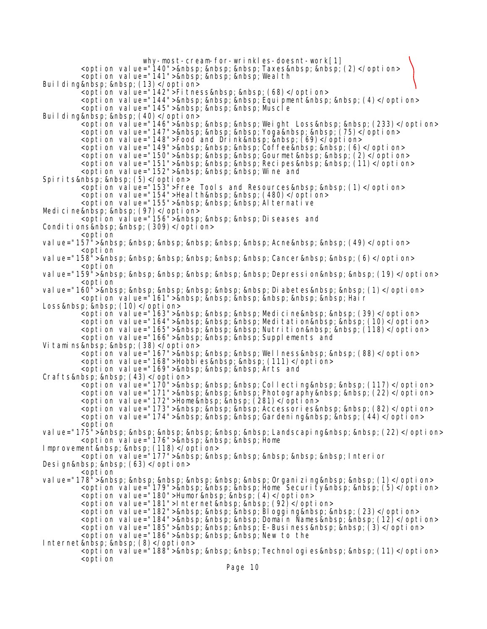why-most-cream-for-wrinkles-doesnt-work[1] <option value="140">&nbsp;&nbsp;&nbsp;Taxes&nbsp;&nbsp;(2)</option> <option value="141">&nbsp; &nbsp; &nbsp; Wealth Building (13)</option> <option value="142">Fitness&nbsp;&nbsp;(68)</option> <opti on value="144">&nbsp; &nbsp; &nbsp; Equi pment&nbsp; &nbsp; (4)</opti on> <option value="145">&nbsp;&nbsp;&nbsp;Muscle Building (40)</option><br>| soption value="146">&nbsp; &nbsp; &nbsp; Weight Loss&nbsp; &nbsp; (233)</option> <option value="147">&nbsp;&nbsp;&nbsp;Yoga&nbsp;&nbsp;(75)</option> <option value="148">Food and Drink&nbsp; &nbsp; (69)</option> <option value="149">&nbsp; &nbsp; &nbsp; Coffee&nbsp; &nbsp; (6)</option> <option value="150">&nbsp; &nbsp; &nbsp; Gourmet&nbsp; &nbsp; (2)</option> <opti on value="151">&nbsp; &nbsp; &nbsp; Reci pes&nbsp; &nbsp; (11)</opti on> <option value="152">&nbsp;&nbsp;&nbsp;Wine and Spirits  $(5)$ </option> <option value="153">Free Tools and Resources&nbsp; &nbsp; (1)</option> <option value="154">Health&nbsp;&nbsp;(480)</option> <option value="155">&nbsp; &nbsp; &nbsp; Alternative Medicine  $(97)$ </option> <option value="156">&nbsp;&nbsp;&nbsp;Diseases and Conditions (309)</option> <option value="157"> Acne (49)</option> <option value="158"> Cancer (6)</option> <option value="159"> Depression (19)</option> <option val ue="160"> Di abetes (1)</opti on> <opti on val ue="161">&nbsp; &nbsp; &nbsp; &nbsp; &nbsp; &nbsp; Hai r Loss&nbsp;&nbsp;(10)</option> <opti on value="163">&nbsp; &nbsp; &nbsp; Medicine&nbsp; &nbsp; (39)</option> <opti on val ue="164">&nbsp; &nbsp; &nbsp; Medi tati on&nbsp; &nbsp; (10)</opti on> <opti on value="165">&nbsp; &nbsp; &nbsp; Nutri ti on&nbsp; &nbsp; (118)</opti on> <option value="166">&nbsp;&nbsp;&nbsp;Supplements and Vitamins  $(38)$ </option> <option value="167">&nbsp; &nbsp; &nbsp; Wellness&nbsp; &nbsp; (88)</option> <option value="168">Hobbies&nbsp; &nbsp; (111)</option> <option value="169">&nbsp; &nbsp; &nbsp; Arts and Crafts  $(43)$  </option> <option value="170">&nbsp; &nbsp; &nbsp; Collecting&nbsp; &nbsp; (117)</option> <opti on val ue="171">&nbsp; &nbsp; &nbsp; Photography&nbsp; &nbsp; (22)</opti on> <option value="172">Home&nbsp;&nbsp;(281)</option> <option value="173">&nbsp; &nbsp; &nbsp; Accessories&nbsp; &nbsp; (82)</option> <option value="174">&nbsp; &nbsp; &nbsp; Gardening&nbsp; &nbsp;  $(44)$ </option> <option val ue="175"> Landscapi ng (22)</opti on> <option value="176">&nbsp;&nbsp;&nbsp;Home Improvement (118)</option> <option value="177">&nbsp; &nbsp; &nbsp; &nbsp; &nbsp; &nbsp; Interior Design (63)</option> <option value="178"> Organizing (1)</option> <option value="179">&nbsp; &nbsp; &nbsp; Home Security&nbsp; &nbsp; (5)</option> <option value="180">Humor&nbsp; &nbsp; (4)</option> <option value="181">Internet&nbsp;&nbsp;(92)</option> <opti on val ue="182">&nbsp; &nbsp; &nbsp; Bl oggi ng&nbsp; &nbsp; (23)</opti on> <opti on val ue="184">&nbsp; &nbsp; &nbsp; Domāi n Names&nbsp; &nbsp; (12)</opti on> <option value="185">&nbsp; &nbsp; &nbsp; E-Business&nbsp; &nbsp; (3)</option> <option value="186">&nbsp;&nbsp;&nbsp;New to the Internet (8)</option>

<opti on val ue="188">&nbsp; &nbsp; &nbsp; Technol ogi es&nbsp; &nbsp; (11)</opti on> <option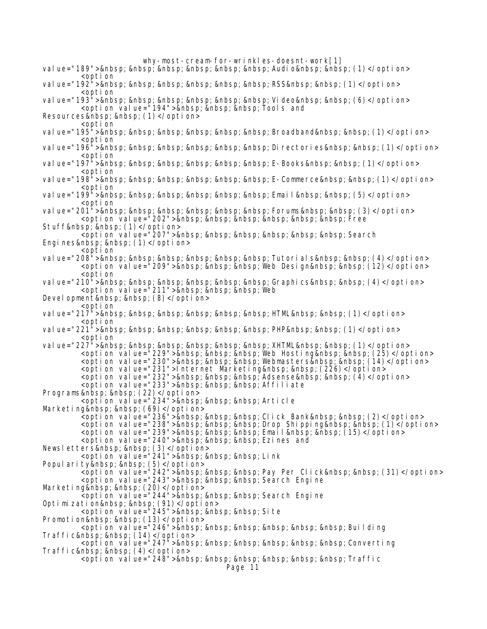- value="189"> Audio  $(1)$ </option> <option
- value="192"> RSS  $(1)$ </option> <option

val ue="193"> Vi deo (6)</opti on> <option value="194">&nbsp;&nbsp;&nbsp;Tools and

Resources (1)</option>

- <option val ue="195"> Broadband (1)</opti on> <option
- value="196"> Directories (1)</option> <option
- val ue="197"> E-Books (1)</opti on> <option
- value="198"> E-Commerce (1)</option> <option
- val ue="199"> Emai I (5)</opti on> <option
- value="201"> Forums (3)</option> <option value="202">&nbsp; &nbsp; &nbsp; &nbsp; &nbsp; &nbsp; Free
- Stuff (1)</option>

<option value="207">&nbsp; &nbsp; &nbsp; &nbsp; &nbsp; &nbsp; Search

Engines (1)</option>

<option value="208"> Tutorial s  $(4)$ </option> <option value="209">&nbsp;&nbsp;&nbsp;Web Design&nbsp;&nbsp;(12)</option> <option

value="210"> Graphics (4)</option> <option value="211">&nbsp; &nbsp; &nbsp; Web

Devel opment (8)</option>

<option

val ue="217"> HTML (1)</opti on> <option

val ue="221"> PHP (1)</opti on> <option

value="227"> XHTML (1)</option> <opti on val ue="229">&nbsp; &nbsp; &nbsp; Web Hosti ng&nbsp; &nbsp; (25) </opti on> <opti on value="230">&nbsp; &nbsp; &nbsp; Webmasters&nbsp; &nbsp; (14)</opti on> <option value="231">Internet Marketing&nbsp; &nbsp; (226)</option> <opti on value="232">&nbsp; &nbsp; &nbsp; Adsense&nbsp; &nbsp; (4)</opti on> <option value="233">&nbsp;&nbsp;&nbsp;Affiliate Programs (22)</option>

<option value="234">&nbsp;&nbsp;&nbsp;Article

Marketing (69)</option>

- $\leq$ option value="236"> Click Bank (2)</option>
- <option value="238">&nbsp; &nbsp; &nbsp; Drop Shipping&nbsp; &nbsp; (1)</option>
- <opti on value="239">&nbsp; &nbsp; &nbsp; Email&nbsp; &nbsp; (15)</opti on>
- <option value="240">&nbsp;&nbsp;&nbsp;Ezines and
- Newsletters (3)</option>

<option value="241">&nbsp; &nbsp; &nbsp; Link

Popularity (5)</option>

<option value="242">&nbsp;&nbsp;&nbsp;Pay Per Click&nbsp;&nbsp;(31)</option>

<option value="243">&nbsp;&nbsp;&nbsp;Search Engine

Marketing (20)</option>

<option value="244">&nbsp;&nbsp;&nbsp;Search Engine

Optimization (91)</option>

<option value="245">&nbsp;&nbsp;&nbsp;Site

Promotion (13)</option>

<option value="246">&nbsp;&nbsp;&nbsp;&nbsp;&nbsp;&nbsp;Building Traffic&nbsp;&nbsp;(14)</option>

<opti on val ue="247">&nbsp; &nbsp; &nbsp; &nbsp; &nbsp; &nbsp; Converting Traffic (4)</option>

<option value="248">&nbsp; &nbsp; &nbsp; &nbsp; &nbsp; &nbsp; Traffic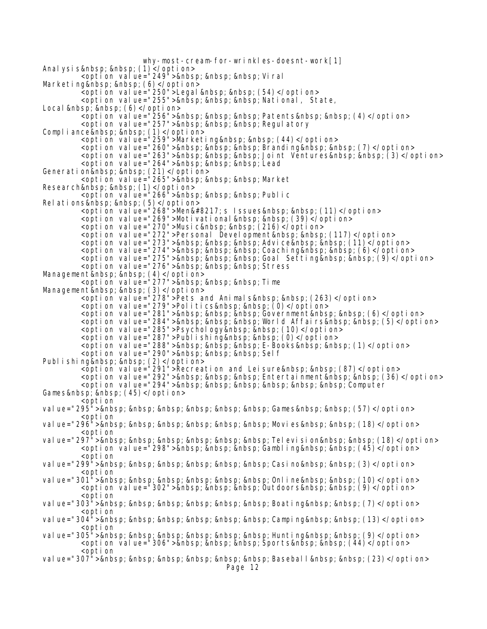why-most-cream-for-wrinkles-doesnt-work[1] Analysis (1)</option>  $\frac{1}{2}$   $\frac{1}{2}$   $\frac{1}{2}$   $\frac{1}{2}$   $\frac{1}{2}$   $\frac{1}{2}$   $\frac{1}{2}$   $\frac{1}{2}$   $\frac{1}{2}$   $\frac{1}{2}$   $\frac{1}{2}$   $\frac{1}{2}$   $\frac{1}{2}$   $\frac{1}{2}$   $\frac{1}{2}$   $\frac{1}{2}$   $\frac{1}{2}$   $\frac{1}{2}$   $\frac{1}{2}$   $\frac{1}{2}$   $\frac{1}{2}$   $\frac{1}{2}$  Marketing (6)</option> <option value="250">Legal &nbsp; &nbsp; (54)</option> <option value="255">&nbsp;&nbsp;&nbsp;National, State, Local (6)</option> <opti on value="256">&nbsp; &nbsp; &nbsp; Patents&nbsp; &nbsp; (4)</opti on> <option value="257">&nbsp; &nbsp; &nbsp; Regulatory Compliance (1)</option> <option value="259">Marketing&nbsp;&nbsp;(44)</option> <opti on val ue="260">&nbsp; &nbsp; &nbsp; Brandi ng&nbsp; &nbsp; (7)</opti on> <opti on val ue="263">&nbsp; &nbsp; &nbsp; Joi nt Ventures&nbsp; &nbsp; (3)</opti on> <option value="264">&nbsp;&nbsp;&nbsp;Lead Generation&nbsp;&nbsp;(21)</option> <option value="265">&nbsp;&nbsp;&nbsp;Market> Research&nbsp;&nbsp;(1)</option> <option value="266">&nbsp;&nbsp;&nbsp;Public Relations (5)</option> <option value="268">Men&#8217;s Issues&nbsp;&nbsp;(11)</option> <option value="269">Motivational&nbsp;&nbsp;(39)</option> <option value="270">Music&nbsp;&nbsp;(216)</option> <option value="272">Personal Development&nbsp;&nbsp;(117)</option> <opti on value="273">&nbsp; &nbsp; &nbsp; Advi ce&nbsp; &nbsp; (11)</opti on> <opti on val ue="274">&nbsp; &nbsp; &nbsp; Coachi ng&nbsp; &nbsp; (6)</opti on> <option value="275">&nbsp; &nbsp; &nbsp; Goal Setting&nbsp; &nbsp; (9)</option> <option value="276">&nbsp; &nbsp; &nbsp; Stress Management&nbsp;&nbsp;(4)</option> <option value="277">&nbsp;&nbsp;&nbsp;Time Management&nbsp;&nbsp;(3)</option> <option value="278">Pets and Animals&nbsp;&nbsp;(263)</option> <option value="279">Politics&nbsp;&nbsp;(0)</option> <option value="281">&nbsp; &nbsp; &nbsp; Government&nbsp; &nbsp; (6)</option> <opti on val ue="284">&nbsp; &nbsp; &nbsp; Worl d Affai rs&nbsp; &nbsp; (5)</opti on> <option value="285">Psychology&nbsp; &nbsp; (10)</option> <option value="287">Publishing&nbsp;&nbsp; (0)</option> <opti on value="288">&nbsp; &nbsp; &nbsp; E-Books&nbsp; &nbsp; (1)</opti on> <option value="290">&nbsp; &nbsp; &nbsp; Self Publishing (2)</option> <option value="291">Recreation and Leisure&nbsp;&nbsp;(87)</option> <option value="292">&nbsp;&nbsp;&nbsp;Entertainment&nbsp;&nbsp;(36)</option> <option value="294">&nbsp; &nbsp; &nbsp; &nbsp; &nbsp; &nbsp; Computer Games (45)</option> <option val ue="295"> Games (57)</opti on> <option value="296"> Movies (18)</option> <option val ue="297"> Tel evi si on (18)</opti on> <option value="298">&nbsp; &nbsp; &nbsp; Gambling&nbsp; &nbsp; (45)</option> <option value="299"> Casino  $(3)$ </option> <option value=" $301"$  > & nbsp; & nbsp; & nbsp; & nbsp; & nbsp; & nbsp; Online & nbsp;  $(10)$  </option> <option value="302">&nbsp; &nbsp; &nbsp; Outdoors&nbsp; &nbsp; (9)</option> <option value="303"> Boating (7)</option> <option value="304"> Camping (13)</option> <option value="305"> Hunting (9)</option> <option value="306">&nbsp; &nbsp; &nbsp; Sports&nbsp; &nbsp; (44)</option> <option value="307"> Basebal I  $(23)$ </option>

Page 12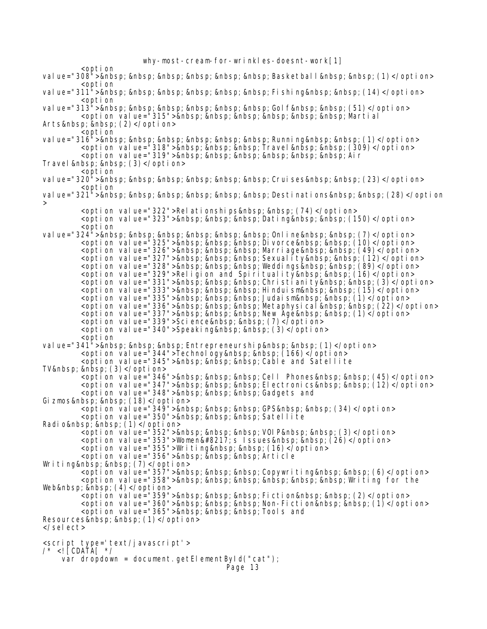why-most-cream-for-wrinkles-doesnt-work[1] <option value="308"> Basketball (1)</option> <option value="311"> Fishing (14)</option> <option val ue="313"> Gol f (51)</opti on> <opti on val ue="315">&nbsp; &nbsp; &nbsp; &nbsp; &nbsp; &nbsp; Marti al Arts (2)</option> <option value="316"> Running (1)</option> <opti on val ue="318">&nbsp; &nbsp; &nbsp; Travel &nbsp; &nbsp; (309)</opti on> <option value="319">&nbsp; &nbsp; &nbsp; &nbsp; &nbsp; &nbsp; Air Travel (3)</option> <option value="320"> Cruises (23)</option> <option val ue="321"> Desti nati ons (28)</opti on > <option value="322">Relationships&nbsp; &nbsp; (74)</option> <option value="323">&nbsp; &nbsp; &nbsp; Dating&nbsp; &nbsp; (150)</option> <option val ue="324"> Onl i ne (7)</opti on> <opti on val ue="325">&nbsp; &nbsp; &nbsp; Di vorce&nbsp; &nbsp; (10)</opti on> <option value="326">&nbsp; &nbsp; &nbsp; Marri age&nbsp; &nbsp; (49)</option> <option value="327">&nbsp; &nbsp; &nbsp; Sexuality&nbsp; &nbsp; (12)</option> <opti on val ue="328">&nbsp; &nbsp; &nbsp; Weddi ngs&nbsp; &nbsp; (89)</opti on> <option value="329">Religion and Spirituality&nbsp;&nbsp;(16)</option> <option value="331">&nbsp; &nbsp; &nbsp; Christianity&nbsp; &nbsp; (3)</option> <opti on value="333">&nbsp; &nbsp; &nbsp; Hinduism&nbsp; &nbsp; (15)</option> <opti on val ue="335">&nbsp; &nbsp; &nbsp; Judai sm&nbsp; &nbsp; (1)</opti on> <opti on val ue="336">&nbsp; &nbsp; &nbsp; Metaphysi cal &nbsp; &nbsp; (22)</opti on> <option value="337">&nbsp; &nbsp; &nbsp; New Age&nbsp; &nbsp; (1)</option> <option value="339">Science&nbsp; &nbsp; (7)</option> <option value="340">Speaking&nbsp;&nbsp;(3)</option> <option value="341"> Entrepreneurship (1)</option> <option value="344">Technology&nbsp; &nbsp; (166)</option> <option value="345">&nbsp; &nbsp; &nbsp; Cable and Satellite TV  $\$ ;  $(3)$ </option> <option value="346">&nbsp; &nbsp; &nbsp; Cell Phones&nbsp; &nbsp; (45)</option> <option value="347">&nbsp; &nbsp; &nbsp; Electronics&nbsp; &nbsp; (12)</option> <option value="348">&nbsp;&nbsp;&nbsp;Gadgets and Gizmos (18)</option> <option value="349">&nbsp; &nbsp; &nbsp; GPS&nbsp; &nbsp; (34)</option> eption value="350"> Satellite Radio (1)</option> <option\_value="352">&nbsp; &nbsp; &nbsp; VOIP&nbsp; &nbsp; (3)</option> <option value="353">Women&#8217;s Issues&nbsp;&nbsp;(26)</option> <option value="355">Writing&nbsp;&nbsp;(16)</option> <option value="356">&nbsp;&nbsp;&nbsp;Article Writing (7)</option> <option value="357">&nbsp; &nbsp; &nbsp; Copywriting&nbsp; &nbsp; (6)</option>  $\epsilon$ option value="358"> Writing for the Web  $(4)$ </option> <opti on value="359">&nbsp; &nbsp; &nbsp; Ficti on&nbsp; &nbsp; (2)</opti on> <opti on value="360">&nbsp; &nbsp; &nbsp; Non-Fiction&nbsp; &nbsp; (1)</option> <option value="365">&nbsp;&nbsp;&nbsp;Tools and Resources (1)</option> </select> <script type='text/javascript'> /\* <![CDATA[ \*/ var dropdown = document.getElementById("cat"); Page 13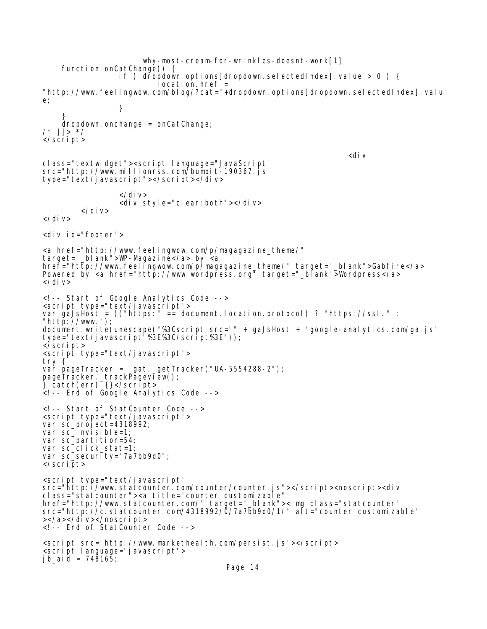why-most-cream-for-wrinkles-doesnt-work[1]<br>function onCatChange() { if ( dropdown.options[dropdown.selectedIndex].value > 0 ) {  $locati$  on. href = "http://www.feelingwow.com/blog/?cat="+dropdown.options[dropdown.selectedIndex].valu e; } } dropdown.onchange = onCatChange; /\* ]]> \*/ </script> <div class="textwidget"><script language="JavaScript" src="http://www.millionrss.com/bumpit-190367.js" type="text/javascript"></script></div> </div> <div style="clear:both"></div> </div> </div> <div id="footer"> <a href="http://www.feelingwow.com/p/magagazine\_theme/" target="\_blank">WP-Magazine</a> by <a href="http://www.feelingwow.com/p/magagazine\_theme/" target="\_blank">Gabfire</a> Powered by <a href="http://www.wordpress.org" target="\_blank">Wordpress</a>  $\langle$ div $\rangle$ <!-- Start of Google Analytics Code --> <script type="text/javascript"> var gaJsHost = (("https:" == document.location.protocol) ? "https://ssl." : "http://www."); document.write(unescape("%3Cscript src='" + gaJsHost + "google-analytics.com/ga.js' type='text/javascript'%3E%3C/script%3E")); </script> <script type="text/javascript"> try { var pageTracker = \_gat.\_getTracker("UA-5554288-2"); pageTracker.\_trackPageview(); } catch(err) {}</script> <!-- End of Google Analytics Code --> <!-- Start of StatCounter Code --> <script type="text/javascript"> var sc\_project=4318992; var sc\_invisible=1; var sc\_partition=54; var sc\_click\_stat=1; var sc\_security="7a7bb9d0"; </script> <script type="text/javascript" src="http://www.statcounter.com/counter/counter.js"></script><noscript><div class="statcounter"><a title="counter customizable" href="http://www.statcounter.com/" target="\_blank"><img class="statcounter" src="http://c.statcounter.com/4318992/0/7a7bb9d0/1/" alt="counter customizable" ></a></div></noscript> <!-- End of StatCounter Code --> <script src='http://www.markethealth.com/persist.js'></script> <script language='javascript'> j b\_ai d = 748165;